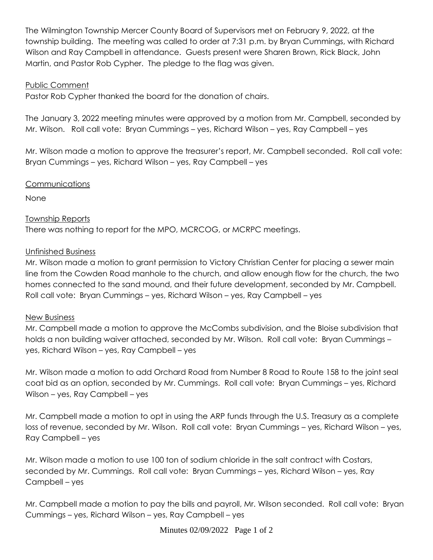The Wilmington Township Mercer County Board of Supervisors met on February 9, 2022, at the township building. The meeting was called to order at 7:31 p.m. by Bryan Cummings, with Richard Wilson and Ray Campbell in attendance. Guests present were Sharen Brown, Rick Black, John Martin, and Pastor Rob Cypher. The pledge to the flag was given.

## Public Comment

Pastor Rob Cypher thanked the board for the donation of chairs.

The January 3, 2022 meeting minutes were approved by a motion from Mr. Campbell, seconded by Mr. Wilson. Roll call vote: Bryan Cummings – yes, Richard Wilson – yes, Ray Campbell – yes

Mr. Wilson made a motion to approve the treasurer's report, Mr. Campbell seconded. Roll call vote: Bryan Cummings – yes, Richard Wilson – yes, Ray Campbell – yes

## **Communications**

None

# Township Reports

There was nothing to report for the MPO, MCRCOG, or MCRPC meetings.

## Unfinished Business

Mr. Wilson made a motion to grant permission to Victory Christian Center for placing a sewer main line from the Cowden Road manhole to the church, and allow enough flow for the church, the two homes connected to the sand mound, and their future development, seconded by Mr. Campbell. Roll call vote: Bryan Cummings – yes, Richard Wilson – yes, Ray Campbell – yes

## New Business

Mr. Campbell made a motion to approve the McCombs subdivision, and the Bloise subdivision that holds a non building waiver attached, seconded by Mr. Wilson. Roll call vote: Bryan Cummings – yes, Richard Wilson – yes, Ray Campbell – yes

Mr. Wilson made a motion to add Orchard Road from Number 8 Road to Route 158 to the joint seal coat bid as an option, seconded by Mr. Cummings. Roll call vote: Bryan Cummings – yes, Richard Wilson – yes, Ray Campbell – yes

Mr. Campbell made a motion to opt in using the ARP funds through the U.S. Treasury as a complete loss of revenue, seconded by Mr. Wilson. Roll call vote: Bryan Cummings – yes, Richard Wilson – yes, Ray Campbell – yes

Mr. Wilson made a motion to use 100 ton of sodium chloride in the salt contract with Costars, seconded by Mr. Cummings. Roll call vote: Bryan Cummings – yes, Richard Wilson – yes, Ray Campbell – yes

Mr. Campbell made a motion to pay the bills and payroll, Mr. Wilson seconded. Roll call vote: Bryan Cummings – yes, Richard Wilson – yes, Ray Campbell – yes

Minutes 02/09/2022 Page 1 of 2